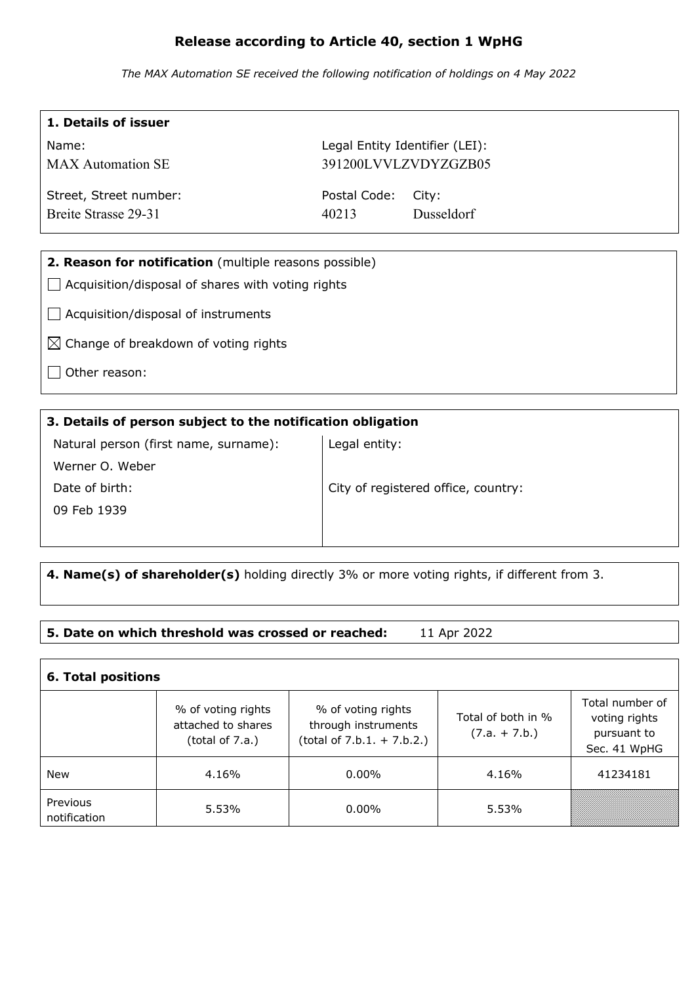# **Release according to Article 40, section 1 WpHG**

*The MAX Automation SE received the following notification of holdings on 4 May 2022*

| 1. Details of issuer                                     |                                |            |  |  |
|----------------------------------------------------------|--------------------------------|------------|--|--|
| Name:                                                    | Legal Entity Identifier (LEI): |            |  |  |
| <b>MAX</b> Automation SE                                 | 391200LVVLZVDYZGZB05           |            |  |  |
| Street, Street number:                                   | Postal Code:                   | City:      |  |  |
| Breite Strasse 29-31                                     | 40213                          | Dusseldorf |  |  |
|                                                          |                                |            |  |  |
| 2. Reason for notification (multiple reasons possible)   |                                |            |  |  |
| $\Box$ Acquisition/disposal of shares with voting rights |                                |            |  |  |
| Acquisition/disposal of instruments                      |                                |            |  |  |
| $\boxtimes$ Change of breakdown of voting rights         |                                |            |  |  |
| Other reason:                                            |                                |            |  |  |

#### **3. Details of person subject to the notification obligation**

| Natural person (first name, surname): | Legal entity:                       |
|---------------------------------------|-------------------------------------|
| Werner O. Weber                       |                                     |
| Date of birth:                        | City of registered office, country: |
| 09 Feb 1939                           |                                     |
|                                       |                                     |

# **4. Name(s) of shareholder(s)** holding directly 3% or more voting rights, if different from 3.

### **5. Date on which threshold was crossed or reached:** 11 Apr 2022

| <b>6. Total positions</b> |                                                                |                                                                           |                                       |                                                                 |  |  |
|---------------------------|----------------------------------------------------------------|---------------------------------------------------------------------------|---------------------------------------|-----------------------------------------------------------------|--|--|
|                           | % of voting rights<br>attached to shares<br>(total of $7.a.$ ) | % of voting rights<br>through instruments<br>$(total of 7.b.1. + 7.b.2.)$ | Total of both in %<br>$(7.a. + 7.b.)$ | Total number of<br>voting rights<br>pursuant to<br>Sec. 41 WpHG |  |  |
| New                       | 4.16%                                                          | $0.00\%$                                                                  | 4.16%                                 | 41234181                                                        |  |  |
| Previous<br>notification  | 5.53%                                                          | $0.00\%$                                                                  | 5.53%                                 |                                                                 |  |  |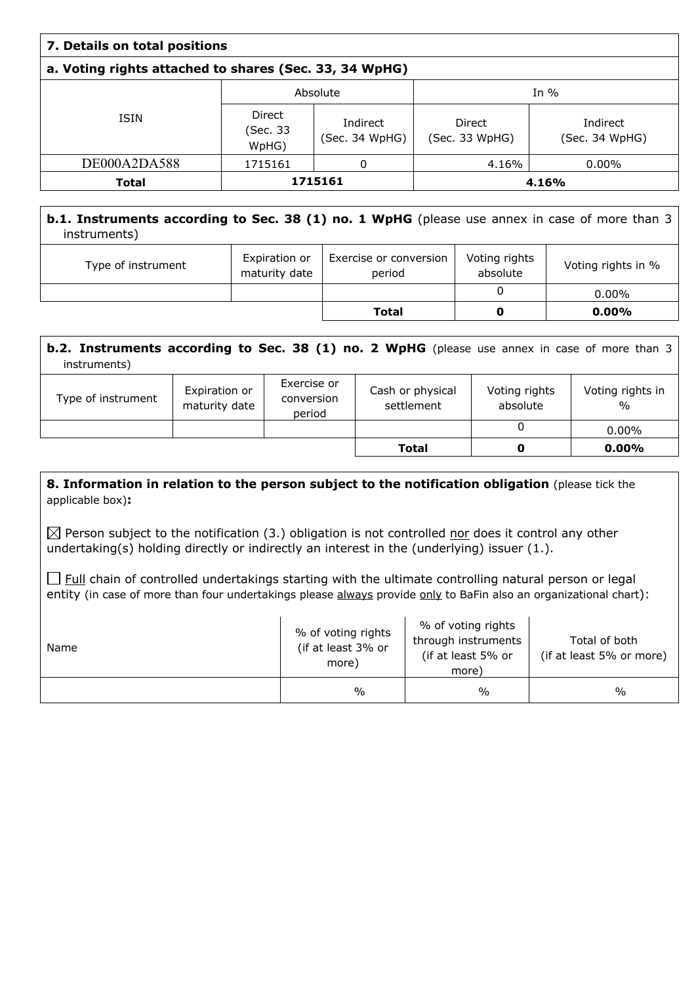| 7. Details on total positions                          |                             |                            |                          |                            |  |
|--------------------------------------------------------|-----------------------------|----------------------------|--------------------------|----------------------------|--|
| a. Voting rights attached to shares (Sec. 33, 34 WpHG) |                             |                            |                          |                            |  |
|                                                        | Absolute                    |                            | In $%$                   |                            |  |
| <b>ISIN</b>                                            | Direct<br>(Sec. 33<br>WpHG) | Indirect<br>(Sec. 34 WpHG) | Direct<br>(Sec. 33 WpHG) | Indirect<br>(Sec. 34 WpHG) |  |
| DE000A2DA588                                           | 1715161                     | 0                          | 4.16%                    | $0.00\%$                   |  |
| <b>Total</b>                                           | 1715161                     |                            |                          | 4.16%                      |  |

## **b.1. Instruments according to Sec. 38 (1) no. 1 WpHG** (please use annex in case of more than 3 instruments)

| Type of instrument | Expiration or<br>maturity date | Exercise or conversion<br>period | Voting rights<br>absolute | Voting rights in % |
|--------------------|--------------------------------|----------------------------------|---------------------------|--------------------|
|                    |                                |                                  |                           | $0.00\%$           |
|                    |                                | <b>Total</b>                     |                           | $0.00\%$           |

| <b>b.2. Instruments according to Sec. 38 (1) no. 2 WpHG</b> (please use annex in case of more than 3<br>instruments) |                                |                                     |                                |                           |                                   |
|----------------------------------------------------------------------------------------------------------------------|--------------------------------|-------------------------------------|--------------------------------|---------------------------|-----------------------------------|
| Type of instrument                                                                                                   | Expiration or<br>maturity date | Exercise or<br>conversion<br>period | Cash or physical<br>settlement | Voting rights<br>absolute | Voting rights in<br>$\frac{0}{0}$ |
|                                                                                                                      |                                |                                     |                                | 0                         | $0.00\%$                          |
|                                                                                                                      |                                |                                     | Total                          | O                         | $0.00\%$                          |

#### **8. Information in relation to the person subject to the notification obligation (please tick the** applicable box)**:**

 $\boxtimes$  Person subject to the notification (3.) obligation is not controlled nor does it control any other undertaking(s) holding directly or indirectly an interest in the (underlying) issuer (1.).

 $\Box$  Full chain of controlled undertakings starting with the ultimate controlling natural person or legal entity (in case of more than four undertakings please always provide only to BaFin also an organizational chart):

| Name | % of voting rights<br>(if at least 3% or<br>more) | % of voting rights<br>through instruments<br>(if at least 5% or<br>more) | Total of both<br>(if at least 5% or more) |
|------|---------------------------------------------------|--------------------------------------------------------------------------|-------------------------------------------|
|      | $\%$                                              | $\frac{0}{0}$                                                            | $\frac{0}{0}$                             |